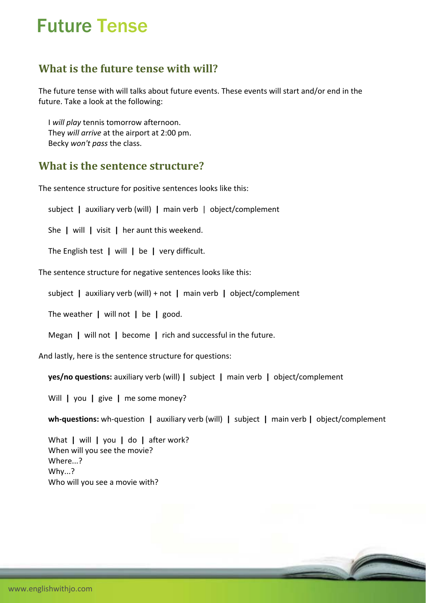# Future Tense

## **What is the future tense with will?**

The future tense with will talks about future events. These events will start and/or end in the future. Take a look at the following:

 I *will play* tennis tomorrow afternoon. They *will arrive* at the airport at 2:00 pm. Becky *won't pass* the class.

## **What is the sentence structure?**

The sentence structure for positive sentences looks like this:

subject **|** auxiliary verb (will) **|** main verb | object/complement

She **|** will **|** visit **|** her aunt this weekend.

The English test **|** will **|** be **|** very difficult.

The sentence structure for negative sentences looks like this:

subject **|** auxiliary verb (will) + not **|** main verb **|** object/complement

The weather **|** will not **|** be **|** good.

Megan **|** will not **|** become **|** rich and successful in the future.

And lastly, here is the sentence structure for questions:

**yes/no questions:** auxiliary verb (will) **|** subject **|** main verb **|** object/complement

Will **|** you **|** give **|** me some money?

**wh‐questions:** wh‐question **|** auxiliary verb (will) **|** subject **|** main verb **|** object/complement

 What **|** will **|** you **|** do **|** after work? When will you see the movie? Where...? Why...? Who will you see a movie with?